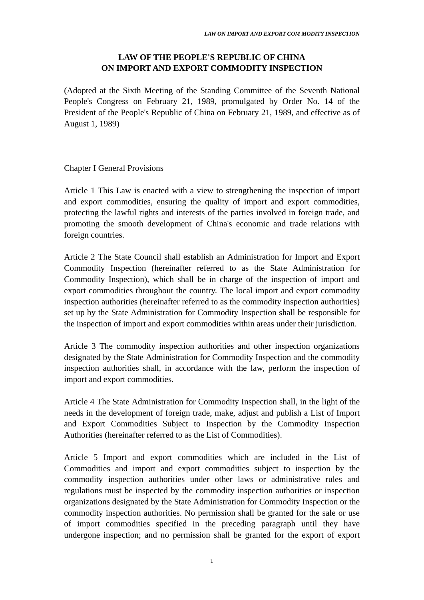## **LAW OF THE PEOPLE'S REPUBLIC OF CHINA ON IMPORT AND EXPORT COMMODITY INSPECTION**

(Adopted at the Sixth Meeting of the Standing Committee of the Seventh National People's Congress on February 21, 1989, promulgated by Order No. 14 of the President of the People's Republic of China on February 21, 1989, and effective as of August 1, 1989)

## Chapter I General Provisions

Article 1 This Law is enacted with a view to strengthening the inspection of import and export commodities, ensuring the quality of import and export commodities, protecting the lawful rights and interests of the parties involved in foreign trade, and promoting the smooth development of China's economic and trade relations with foreign countries.

Article 2 The State Council shall establish an Administration for Import and Export Commodity Inspection (hereinafter referred to as the State Administration for Commodity Inspection), which shall be in charge of the inspection of import and export commodities throughout the country. The local import and export commodity inspection authorities (hereinafter referred to as the commodity inspection authorities) set up by the State Administration for Commodity Inspection shall be responsible for the inspection of import and export commodities within areas under their jurisdiction.

Article 3 The commodity inspection authorities and other inspection organizations designated by the State Administration for Commodity Inspection and the commodity inspection authorities shall, in accordance with the law, perform the inspection of import and export commodities.

Article 4 The State Administration for Commodity Inspection shall, in the light of the needs in the development of foreign trade, make, adjust and publish a List of Import and Export Commodities Subject to Inspection by the Commodity Inspection Authorities (hereinafter referred to as the List of Commodities).

Article 5 Import and export commodities which are included in the List of Commodities and import and export commodities subject to inspection by the commodity inspection authorities under other laws or administrative rules and regulations must be inspected by the commodity inspection authorities or inspection organizations designated by the State Administration for Commodity Inspection or the commodity inspection authorities. No permission shall be granted for the sale or use of import commodities specified in the preceding paragraph until they have undergone inspection; and no permission shall be granted for the export of export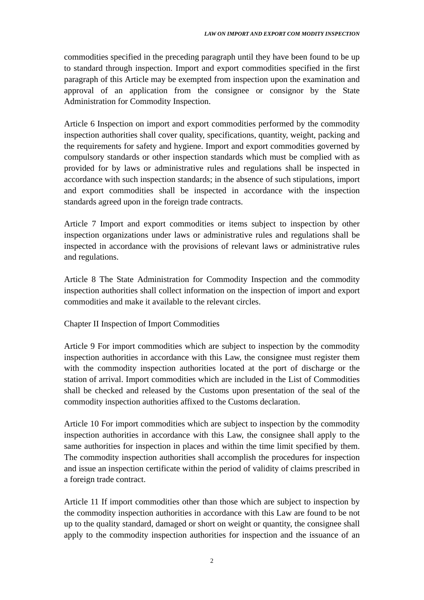commodities specified in the preceding paragraph until they have been found to be up to standard through inspection. Import and export commodities specified in the first paragraph of this Article may be exempted from inspection upon the examination and approval of an application from the consignee or consignor by the State Administration for Commodity Inspection.

Article 6 Inspection on import and export commodities performed by the commodity inspection authorities shall cover quality, specifications, quantity, weight, packing and the requirements for safety and hygiene. Import and export commodities governed by compulsory standards or other inspection standards which must be complied with as provided for by laws or administrative rules and regulations shall be inspected in accordance with such inspection standards; in the absence of such stipulations, import and export commodities shall be inspected in accordance with the inspection standards agreed upon in the foreign trade contracts.

Article 7 Import and export commodities or items subject to inspection by other inspection organizations under laws or administrative rules and regulations shall be inspected in accordance with the provisions of relevant laws or administrative rules and regulations.

Article 8 The State Administration for Commodity Inspection and the commodity inspection authorities shall collect information on the inspection of import and export commodities and make it available to the relevant circles.

Chapter II Inspection of Import Commodities

Article 9 For import commodities which are subject to inspection by the commodity inspection authorities in accordance with this Law, the consignee must register them with the commodity inspection authorities located at the port of discharge or the station of arrival. Import commodities which are included in the List of Commodities shall be checked and released by the Customs upon presentation of the seal of the commodity inspection authorities affixed to the Customs declaration.

Article 10 For import commodities which are subject to inspection by the commodity inspection authorities in accordance with this Law, the consignee shall apply to the same authorities for inspection in places and within the time limit specified by them. The commodity inspection authorities shall accomplish the procedures for inspection and issue an inspection certificate within the period of validity of claims prescribed in a foreign trade contract.

Article 11 If import commodities other than those which are subject to inspection by the commodity inspection authorities in accordance with this Law are found to be not up to the quality standard, damaged or short on weight or quantity, the consignee shall apply to the commodity inspection authorities for inspection and the issuance of an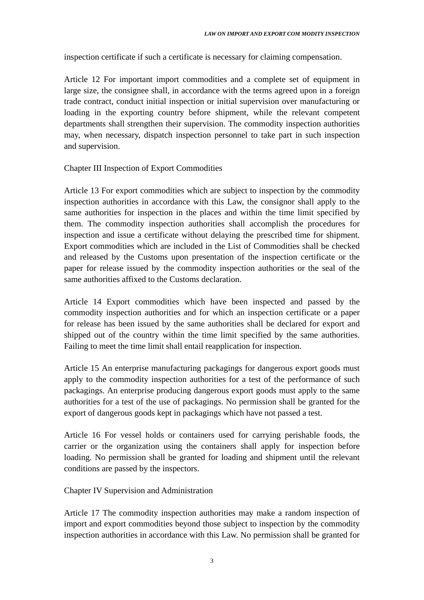inspection certificate if such a certificate is necessary for claiming compensation.

Article 12 For important import commodities and a complete set of equipment in large size, the consignee shall, in accordance with the terms agreed upon in a foreign trade contract, conduct initial inspection or initial supervision over manufacturing or loading in the exporting country before shipment, while the relevant competent departments shall strengthen their supervision. The commodity inspection authorities may, when necessary, dispatch inspection personnel to take part in such inspection and supervision.

Chapter III Inspection of Export Commodities

Article 13 For export commodities which are subject to inspection by the commodity inspection authorities in accordance with this Law, the consignor shall apply to the same authorities for inspection in the places and within the time limit specified by them. The commodity inspection authorities shall accomplish the procedures for inspection and issue a certificate without delaying the prescribed time for shipment. Export commodities which are included in the List of Commodities shall be checked and released by the Customs upon presentation of the inspection certificate or the paper for release issued by the commodity inspection authorities or the seal of the same authorities affixed to the Customs declaration.

Article 14 Export commodities which have been inspected and passed by the commodity inspection authorities and for which an inspection certificate or a paper for release has been issued by the same authorities shall be declared for export and shipped out of the country within the time limit specified by the same authorities. Failing to meet the time limit shall entail reapplication for inspection.

Article 15 An enterprise manufacturing packagings for dangerous export goods must apply to the commodity inspection authorities for a test of the performance of such packagings. An enterprise producing dangerous export goods must apply to the same authorities for a test of the use of packagings. No permission shall be granted for the export of dangerous goods kept in packagings which have not passed a test.

Article 16 For vessel holds or containers used for carrying perishable foods, the carrier or the organization using the containers shall apply for inspection before loading. No permission shall be granted for loading and shipment until the relevant conditions are passed by the inspectors.

Chapter IV Supervision and Administration

Article 17 The commodity inspection authorities may make a random inspection of import and export commodities beyond those subject to inspection by the commodity inspection authorities in accordance with this Law. No permission shall be granted for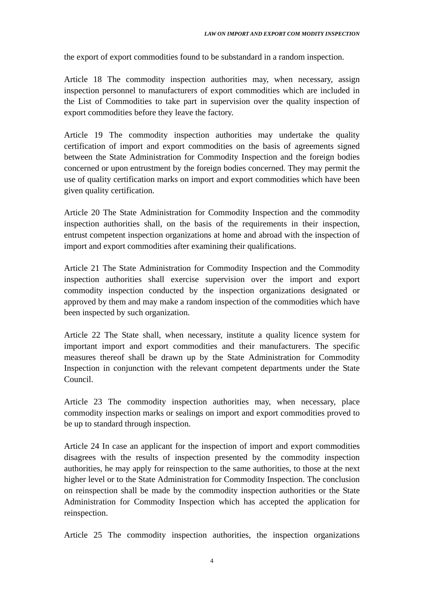the export of export commodities found to be substandard in a random inspection.

Article 18 The commodity inspection authorities may, when necessary, assign inspection personnel to manufacturers of export commodities which are included in the List of Commodities to take part in supervision over the quality inspection of export commodities before they leave the factory.

Article 19 The commodity inspection authorities may undertake the quality certification of import and export commodities on the basis of agreements signed between the State Administration for Commodity Inspection and the foreign bodies concerned or upon entrustment by the foreign bodies concerned. They may permit the use of quality certification marks on import and export commodities which have been given quality certification.

Article 20 The State Administration for Commodity Inspection and the commodity inspection authorities shall, on the basis of the requirements in their inspection, entrust competent inspection organizations at home and abroad with the inspection of import and export commodities after examining their qualifications.

Article 21 The State Administration for Commodity Inspection and the Commodity inspection authorities shall exercise supervision over the import and export commodity inspection conducted by the inspection organizations designated or approved by them and may make a random inspection of the commodities which have been inspected by such organization.

Article 22 The State shall, when necessary, institute a quality licence system for important import and export commodities and their manufacturers. The specific measures thereof shall be drawn up by the State Administration for Commodity Inspection in conjunction with the relevant competent departments under the State Council.

Article 23 The commodity inspection authorities may, when necessary, place commodity inspection marks or sealings on import and export commodities proved to be up to standard through inspection.

Article 24 In case an applicant for the inspection of import and export commodities disagrees with the results of inspection presented by the commodity inspection authorities, he may apply for reinspection to the same authorities, to those at the next higher level or to the State Administration for Commodity Inspection. The conclusion on reinspection shall be made by the commodity inspection authorities or the State Administration for Commodity Inspection which has accepted the application for reinspection.

Article 25 The commodity inspection authorities, the inspection organizations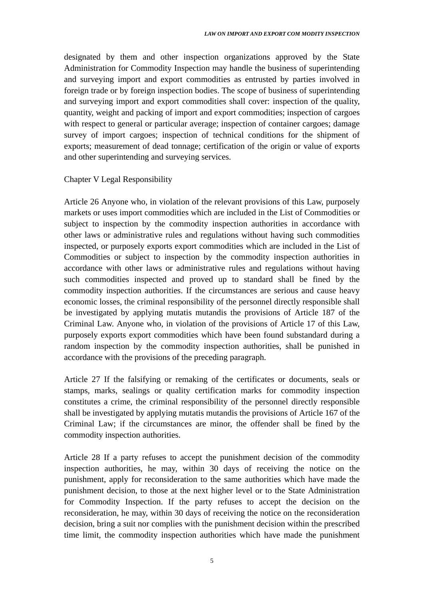designated by them and other inspection organizations approved by the State Administration for Commodity Inspection may handle the business of superintending and surveying import and export commodities as entrusted by parties involved in foreign trade or by foreign inspection bodies. The scope of business of superintending and surveying import and export commodities shall cover: inspection of the quality, quantity, weight and packing of import and export commodities; inspection of cargoes with respect to general or particular average; inspection of container cargoes; damage survey of import cargoes; inspection of technical conditions for the shipment of exports; measurement of dead tonnage; certification of the origin or value of exports and other superintending and surveying services.

## Chapter V Legal Responsibility

Article 26 Anyone who, in violation of the relevant provisions of this Law, purposely markets or uses import commodities which are included in the List of Commodities or subject to inspection by the commodity inspection authorities in accordance with other laws or administrative rules and regulations without having such commodities inspected, or purposely exports export commodities which are included in the List of Commodities or subject to inspection by the commodity inspection authorities in accordance with other laws or administrative rules and regulations without having such commodities inspected and proved up to standard shall be fined by the commodity inspection authorities. If the circumstances are serious and cause heavy economic losses, the criminal responsibility of the personnel directly responsible shall be investigated by applying mutatis mutandis the provisions of Article 187 of the Criminal Law. Anyone who, in violation of the provisions of Article 17 of this Law, purposely exports export commodities which have been found substandard during a random inspection by the commodity inspection authorities, shall be punished in accordance with the provisions of the preceding paragraph.

Article 27 If the falsifying or remaking of the certificates or documents, seals or stamps, marks, sealings or quality certification marks for commodity inspection constitutes a crime, the criminal responsibility of the personnel directly responsible shall be investigated by applying mutatis mutandis the provisions of Article 167 of the Criminal Law; if the circumstances are minor, the offender shall be fined by the commodity inspection authorities.

Article 28 If a party refuses to accept the punishment decision of the commodity inspection authorities, he may, within 30 days of receiving the notice on the punishment, apply for reconsideration to the same authorities which have made the punishment decision, to those at the next higher level or to the State Administration for Commodity Inspection. If the party refuses to accept the decision on the reconsideration, he may, within 30 days of receiving the notice on the reconsideration decision, bring a suit nor complies with the punishment decision within the prescribed time limit, the commodity inspection authorities which have made the punishment